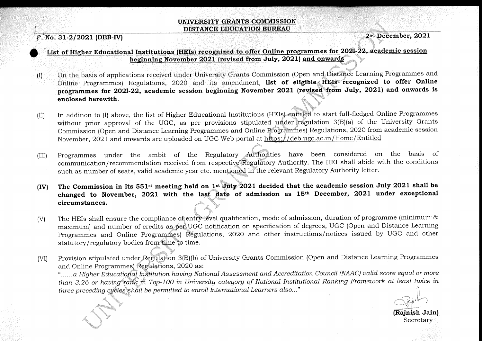## UNIVERSITY GRANTS COMMISSION DISTANCE EDUCATION BUREAU

 $F.$  No. 31-2/2021 (DEB-IV)

2nd December, 2021

## List of Higher Educational Institutions (HEIs) recognized to offer Online programmes for 2021-22, academic session beginning November 2021 (revised from July, 2021) and onwards

- On the basis of applications received under University Grants Commission (Open and Distance Learning Programmes and  $\left( \mathrm{I}\right)$ Online Programmes) Regulations, 2020 and its amendment, list of eligible HEIs recognized to offer Online programmes for 2021-22, academic session beginning November 2021 (revised from July, 2021) and onwards is enclosed herewith.
- In addition to (I) above, the list of Higher Educational Institutions (HEIs) entitled to start full-fledged Online Programmes  $(II)$ without prior approval of the UGC, as per provisions stipulated under regulation 3(B)(a) of the University Grants Commission (Open and Distance Learning Programmes and Online Programmes) Regulations, 2020 from academic session November, 2021 and onwards are uploaded on UGC Web portal at https://deb.ugc.ac.in/Home/Entitled
- Programmes under the ambit of the Regulatory Authorities have been considered on the basis of  $(III)$ communication/recommendation received from respective Regulatory Authority. The HEI shall abide with the conditions such as number of seats, valid academic year etc. mentioned in the relevant Regulatory Authority letter.
- The Commission in its 551<sup>st</sup> meeting held on 1<sup>st</sup> July 2021 decided that the academic session July 2021 shall be  $(IV)$ changed to November, 2021 with the last date of admission as 15<sup>th</sup> December, 2021 under exceptional circumstances.
- The HEIs shall ensure the compliance of entry-level qualification, mode of admission, duration of programme (minimum &  $(V)$ maximum) and number of credits as per UGC notification on specification of degrees, UGC (Open and Distance Learning Programmes and Online Programmes) Regulations, 2020 and other instructions/notices issued by UGC and other statutory/regulatory bodies from time to time.
- Provision stipulated under Regulation 3(B)(b) of University Grants Commission (Open and Distance Learning Programmes  $(VI)$ and Online Programmes) Regulations, 2020 as:

"......a Higher Educational Institution having National Assessment and Accreditation Council (NAAC) valid score equal or more than 3.26 or having rank in Top-100 in University category of National Institutional Ranking Framework at least twice in three preceding cycles shall be permitted to enroll International Learners also..."

(Rainish Jain) Secretary